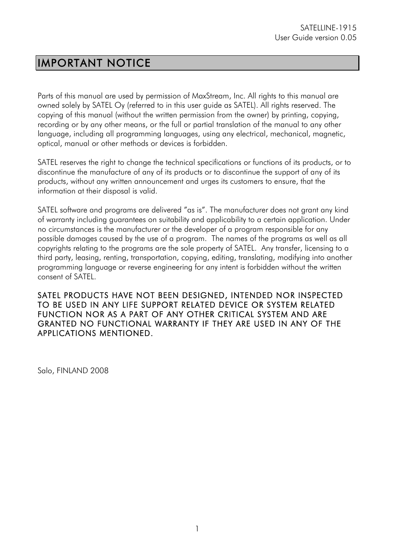## IMPORTANT NOTICE

Parts of this manual are used by permission of MaxStream, Inc. All rights to this manual are owned solely by SATEL Oy (referred to in this user guide as SATEL). All rights reserved. The copying of this manual (without the written permission from the owner) by printing, copying, recording or by any other means, or the full or partial translation of the manual to any other language, including all programming languages, using any electrical, mechanical, magnetic, optical, manual or other methods or devices is forbidden.

SATEL reserves the right to change the technical specifications or functions of its products, or to discontinue the manufacture of any of its products or to discontinue the support of any of its products, without any written announcement and urges its customers to ensure, that the information at their disposal is valid.

SATEL software and programs are delivered "as is". The manufacturer does not grant any kind of warranty including guarantees on suitability and applicability to a certain application. Under no circumstances is the manufacturer or the developer of a program responsible for any possible damages caused by the use of a program. The names of the programs as well as all copyrights relating to the programs are the sole property of SATEL. Any transfer, licensing to a third party, leasing, renting, transportation, copying, editing, translating, modifying into another programming language or reverse engineering for any intent is forbidden without the written consent of SATEL.

SATEL PRODUCTS HAVE NOT BEEN DESIGNED, INTENDED NOR INSPECTED TO BE USED IN ANY LIFE SUPPORT RELATED DEVICE OR SYSTEM RELATED FUNCTION NOR AS A PART OF ANY OTHER CRITICAL SYSTEM AND ARE GRANTED NO FUNCTIONAL WARRANTY IF THEY ARE USED IN ANY OF THE APPLICATIONS MENTIONED.

Salo, FINLAND 2008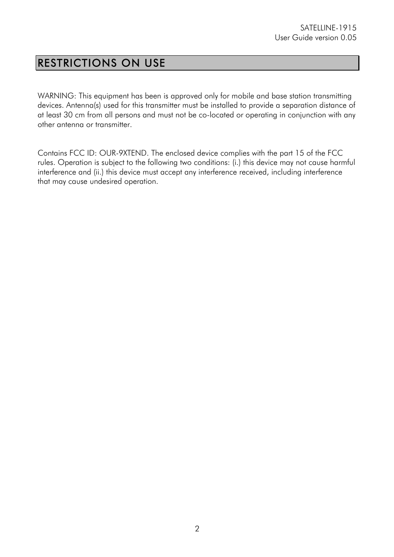## RESTRICTIONS ON USE

WARNING: This equipment has been is approved only for mobile and base station transmitting devices. Antenna(s) used for this transmitter must be installed to provide a separation distance of at least 30 cm from all persons and must not be co-located or operating in conjunction with any other antenna or transmitter.

Contains FCC ID: OUR-9XTEND. The enclosed device complies with the part 15 of the FCC rules. Operation is subject to the following two conditions: (i.) this device may not cause harmful interference and (ii.) this device must accept any interference received, including interference that may cause undesired operation.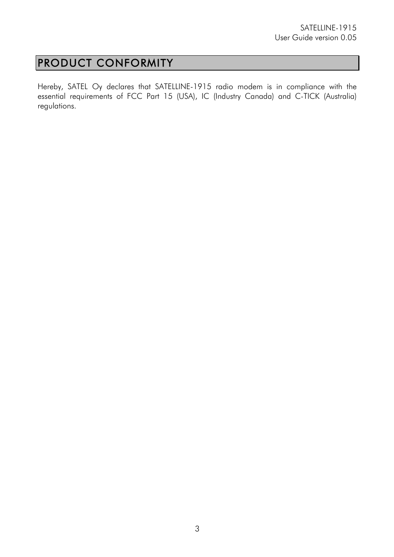## PRODUCT CONFORMITY

Hereby, SATEL Oy declares that SATELLINE-1915 radio modem is in compliance with the essential requirements of FCC Part 15 (USA), IC (Industry Canada) and C-TICK (Australia) regulations.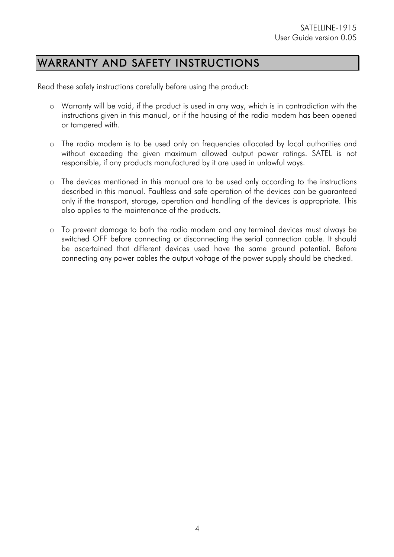## WARRANTY AND SAFETY INSTRUCTIONS

Read these safety instructions carefully before using the product:

- o Warranty will be void, if the product is used in any way, which is in contradiction with the instructions given in this manual, or if the housing of the radio modem has been opened or tampered with.
- o The radio modem is to be used only on frequencies allocated by local authorities and without exceeding the given maximum allowed output power ratings. SATEL is not responsible, if any products manufactured by it are used in unlawful ways.
- o The devices mentioned in this manual are to be used only according to the instructions described in this manual. Faultless and safe operation of the devices can be guaranteed only if the transport, storage, operation and handling of the devices is appropriate. This also applies to the maintenance of the products.
- o To prevent damage to both the radio modem and any terminal devices must always be switched OFF before connecting or disconnecting the serial connection cable. It should be ascertained that different devices used have the same ground potential. Before connecting any power cables the output voltage of the power supply should be checked.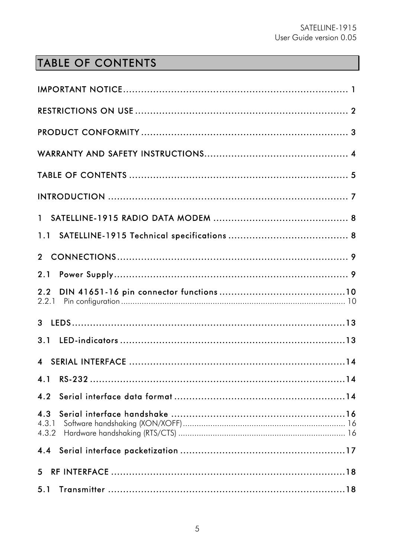# TABLE OF CONTENTS

| 2.2                   |
|-----------------------|
|                       |
|                       |
|                       |
|                       |
| 4.2                   |
| 4.3<br>4.3.1<br>4.3.2 |
|                       |
|                       |
| 5.1                   |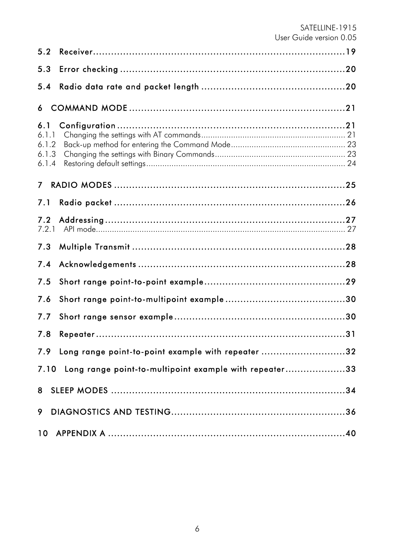| 5.2                                     |                                                             |
|-----------------------------------------|-------------------------------------------------------------|
| 5.3                                     |                                                             |
| 5.4                                     |                                                             |
| 6                                       |                                                             |
| 6.1<br>6.1.1<br>6.1.2<br>6.1.3<br>6.1.4 |                                                             |
| 7 <sup>7</sup>                          |                                                             |
| 7.1                                     |                                                             |
| 7.2<br>7.2.1                            |                                                             |
| 7.3                                     |                                                             |
| 7.4                                     |                                                             |
| 7.5                                     |                                                             |
| 7.6                                     |                                                             |
| 7.7                                     |                                                             |
| 7.8                                     |                                                             |
|                                         | 7.9 Long range point-to-point example with repeater 32      |
|                                         | 7.10 Long range point-to-multipoint example with repeater33 |
|                                         |                                                             |
| 9                                       |                                                             |
|                                         |                                                             |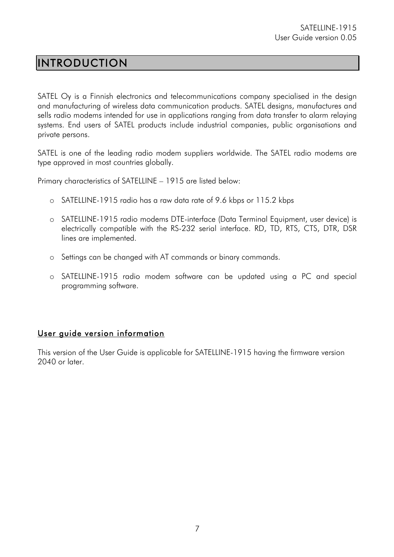## INTRODUCTION

SATEL Oy is a Finnish electronics and telecommunications company specialised in the design and manufacturing of wireless data communication products. SATEL designs, manufactures and sells radio modems intended for use in applications ranging from data transfer to alarm relaying systems. End users of SATEL products include industrial companies, public organisations and private persons.

SATEL is one of the leading radio modem suppliers worldwide. The SATEL radio modems are type approved in most countries globally.

Primary characteristics of SATELLINE – 1915 are listed below:

- o SATELLINE-1915 radio has a raw data rate of 9.6 kbps or 115.2 kbps
- o SATELLINE-1915 radio modems DTE-interface (Data Terminal Equipment, user device) is electrically compatible with the RS-232 serial interface. RD, TD, RTS, CTS, DTR, DSR lines are implemented.
- o Settings can be changed with AT commands or binary commands.
- o SATELLINE-1915 radio modem software can be updated using a PC and special programming software.

#### User guide version information

This version of the User Guide is applicable for SATELLINE-1915 having the firmware version 2040 or later.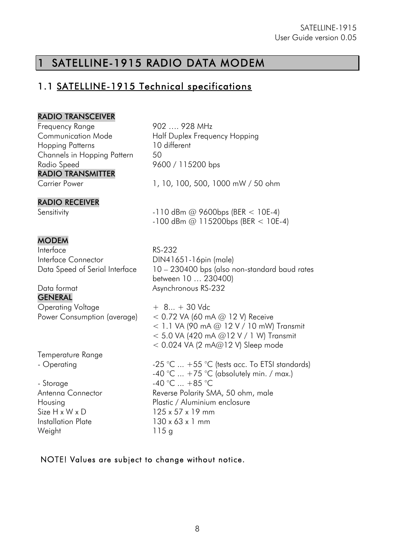## 1 SATELLINE-1915 RADIO DATA MODEM

### 1.1 SATELLINE-1915 Technical specifications

#### RADIO TRANSCEIVER

Frequency Range Communication Mode Hopping Patterns Channels in Hopping Pattern Radio Speed RADIO TRANSMITTER

#### RADIO RECEIVER

902 …. 928 MHz Half Duplex Frequency Hopping 10 different 50 9600 / 115200 bps

Carrier Power 1, 10, 100, 500, 1000 mW / 50 ohm

Sensitivity **-110 dBm @ 9600bps (BER < 10E-4)**  $-100$  dBm @ 115200bps (BER < 10E-4)

#### **MODEM**

Interface Interface Connector Data Speed of Serial Interface

Data format GENERAL Operating Voltage Power Consumption (average)

Temperature Range - Operating

- Storage Antenna Connector Housing Size H x W x D Installation Plate **Weight** 

RS-232 DIN41651-16pin (male) 10 – 230400 bps (also non-standard baud rates between 10 … 230400) Asynchronous RS-232

+ 8... + 30 Vdc  $<$  0.72 VA (60 mA @ 12 V) Receive  $< 1.1$  VA (90 mA @ 12 V / 10 mW) Transmit < 5.0 VA (420 mA @12 V / 1 W) Transmit  $<$  0.024 VA (2 mA@12 V) Sleep mode

 $-25$  °C ...  $+55$  °C (tests acc. To ETSI standards)  $-40$  °C ...  $+75$  °C (absolutely min. / max.)  $-40$  °C  $... +85$  °C Reverse Polarity SMA, 50 ohm, male Plastic / Aluminium enclosure 125 x 57 x 19 mm 130 x 63 x 1 mm 115 g

#### NOTE! Values are subject to change without notice.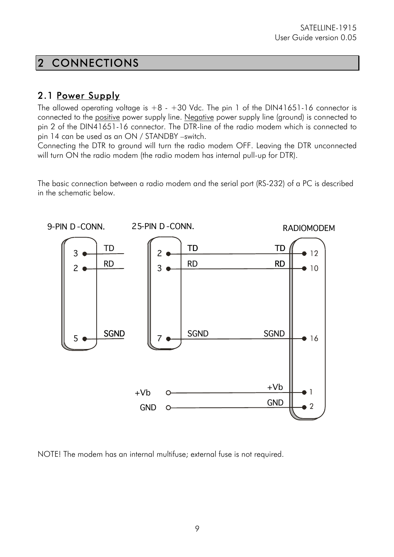## 2 CONNECTIONS

### 2.1 Power Supply

The allowed operating voltage is  $+8 - +30$  Vdc. The pin 1 of the DIN41651-16 connector is connected to the positive power supply line. Negative power supply line (ground) is connected to pin 2 of the DIN41651-16 connector. The DTR-line of the radio modem which is connected to pin 14 can be used as an ON / STANDBY –switch.

Connecting the DTR to ground will turn the radio modem OFF. Leaving the DTR unconnected will turn ON the radio modem (the radio modem has internal pull-up for DTR).

The basic connection between a radio modem and the serial port (RS-232) of a PC is described in the schematic below.



NOTE! The modem has an internal multifuse; external fuse is not required.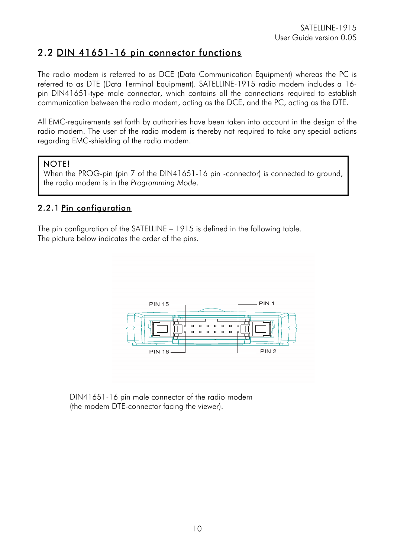### 2.2 DIN 41651-16 pin connector functions

The radio modem is referred to as DCE (Data Communication Equipment) whereas the PC is referred to as DTE (Data Terminal Equipment). SATELLINE-1915 radio modem includes a 16 pin DIN41651-type male connector, which contains all the connections required to establish communication between the radio modem, acting as the DCE, and the PC, acting as the DTE.

All EMC-requirements set forth by authorities have been taken into account in the design of the radio modem. The user of the radio modem is thereby not required to take any special actions regarding EMC-shielding of the radio modem.

#### NOTE!

When the PROG-pin (pin 7 of the DIN41651-16 pin -connector) is connected to ground, the radio modem is in the *Programming Mode*.

#### 2.2.1 Pin configuration

The pin configuration of the SATELLINE – 1915 is defined in the following table. The picture below indicates the order of the pins.



DIN41651-16 pin male connector of the radio modem (the modem DTE-connector facing the viewer).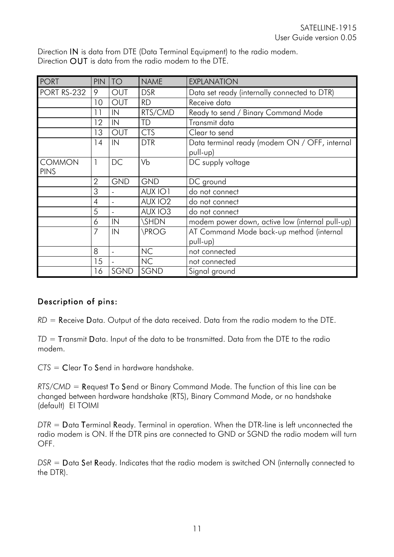Direction IN is data from DTE (Data Terminal Equipment) to the radio modem. Direction OUT is data from the radio modem to the DTE.

| <b>PORT</b>                  | PIN            | <b>TO</b>  | <b>NAME</b>         | <b>EXPLANATION</b>                                        |
|------------------------------|----------------|------------|---------------------|-----------------------------------------------------------|
| <b>PORT RS-232</b>           | 9              | <b>OUT</b> | <b>DSR</b>          | Data set ready (internally connected to DTR)              |
|                              | 10             | <b>OUT</b> | <b>RD</b>           | Receive data                                              |
|                              | 11             | IN         | RTS/CMD             | Ready to send / Binary Command Mode                       |
|                              | 12             | IN         | TD                  | Transmit data                                             |
|                              | 13             | <b>OUT</b> | <b>CTS</b>          | Clear to send                                             |
|                              | 14             | IN         | <b>DTR</b>          | Data terminal ready (modem ON / OFF, internal<br>pull-up) |
| <b>COMMON</b><br><b>PINS</b> | 1              | DC         | Vb                  | DC supply voltage                                         |
|                              | $\overline{2}$ | <b>GND</b> | <b>GND</b>          | DC ground                                                 |
|                              | 3              |            | AUX IO1             | do not connect                                            |
|                              | $\overline{4}$ |            | AUX IO <sub>2</sub> | do not connect                                            |
|                              | 5              |            | AUX IO3             | do not connect                                            |
|                              | 6              | IN         | <b>SHDN</b>         | modem power down, active low (internal pull-up)           |
|                              | 7              | IN         | <b>\PROG</b>        | AT Command Mode back-up method (internal                  |
|                              |                |            |                     | pull-up)                                                  |
|                              | 8              |            | <b>NC</b>           | not connected                                             |
|                              | 15             |            | <b>NC</b>           | not connected                                             |
|                              | 16             | SGND       | SGND                | Signal ground                                             |

#### Description of pins:

*RD* = Receive Data. Output of the data received. Data from the radio modem to the DTE.

*TD* = Transmit Data. Input of the data to be transmitted. Data from the DTE to the radio modem.

*CTS* = Clear To Send in hardware handshake.

*RTS/CMD* = Request To Send or Binary Command Mode. The function of this line can be changed between hardware handshake (RTS), Binary Command Mode, or no handshake (default) EI TOIMI

*DTR* = Data Terminal Ready. Terminal in operation. When the DTR-line is left unconnected the radio modem is ON. If the DTR pins are connected to GND or SGND the radio modem will turn OFF.

*DSR* = Data Set Ready. Indicates that the radio modem is switched ON (internally connected to the DTR).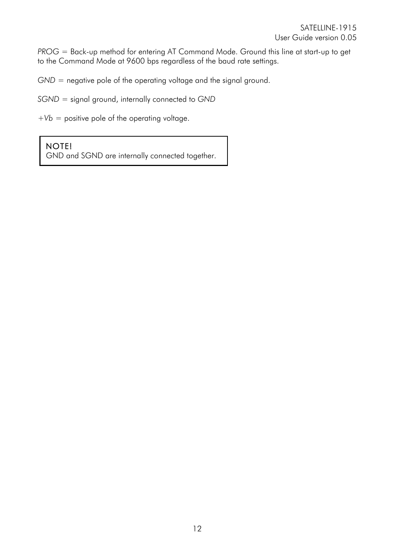*PROG* = Back-up method for entering AT Command Mode. Ground this line at start-up to get to the Command Mode at 9600 bps regardless of the baud rate settings.

*GND* = negative pole of the operating voltage and the signal ground.

*SGND =* signal ground, internally connected to *GND*

*+Vb* = positive pole of the operating voltage.

#### NOTE!

GND and SGND are internally connected together.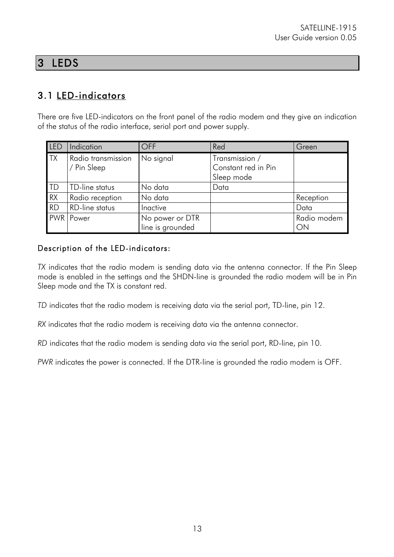## 3 LEDS

## 3.1 LED-indicators

There are five LED-indicators on the front panel of the radio modem and they give an indication of the status of the radio interface, serial port and power supply.

| LED        | Indication                        | <b>OFF</b>                          | Red                                                 | Green             |
|------------|-----------------------------------|-------------------------------------|-----------------------------------------------------|-------------------|
| <b>TX</b>  | Radio transmission<br>/ Pin Sleep | No signal                           | Transmission /<br>Constant red in Pin<br>Sleep mode |                   |
| <b>ITD</b> | TD-line status                    | No data                             | Data                                                |                   |
| RX         | Radio reception                   | No data                             |                                                     | Reception         |
| <b>RD</b>  | <b>RD-line status</b>             | Inactive                            |                                                     | Data              |
|            | <b>PWR</b> Power                  | No power or DTR<br>line is grounded |                                                     | Radio modem<br>ON |

#### Description of the LED-indicators:

*TX* indicates that the radio modem is sending data via the antenna connector. If the Pin Sleep mode is enabled in the settings and the SHDN-line is grounded the radio modem will be in Pin Sleep mode and the TX is constant red.

*TD* indicates that the radio modem is receiving data via the serial port, TD-line, pin 12.

*RX* indicates that the radio modem is receiving data via the antenna connector.

*RD* indicates that the radio modem is sending data via the serial port, RD-line, pin 10.

*PWR* indicates the power is connected. If the DTR-line is grounded the radio modem is OFF.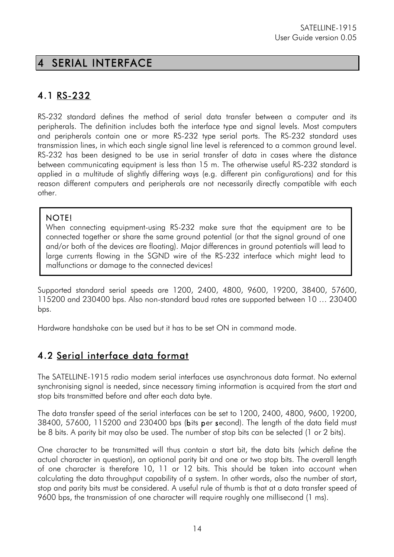## 4 SERIAL INTERFACE

## 4.1 RS-232

RS-232 standard defines the method of serial data transfer between a computer and its peripherals. The definition includes both the interface type and signal levels. Most computers and peripherals contain one or more RS-232 type serial ports. The RS-232 standard uses transmission lines, in which each single signal line level is referenced to a common ground level. RS-232 has been designed to be use in serial transfer of data in cases where the distance between communicating equipment is less than 15 m. The otherwise useful RS-232 standard is applied in a multitude of slightly differing ways (e.g. different pin configurations) and for this reason different computers and peripherals are not necessarily directly compatible with each other.

#### NOTE!

When connecting equipment-using RS-232 make sure that the equipment are to be connected together or share the same ground potential (or that the signal ground of one and/or both of the devices are floating). Major differences in ground potentials will lead to large currents flowing in the SGND wire of the RS-232 interface which might lead to malfunctions or damage to the connected devices!

Supported standard serial speeds are 1200, 2400, 4800, 9600, 19200, 38400, 57600, 115200 and 230400 bps. Also non-standard baud rates are supported between 10 … 230400 bps.

Hardware handshake can be used but it has to be set ON in command mode.

### 4.2 Serial interface data format

The SATELLINE-1915 radio modem serial interfaces use asynchronous data format. No external synchronising signal is needed, since necessary timing information is acquired from the start and stop bits transmitted before and after each data byte.

The data transfer speed of the serial interfaces can be set to 1200, 2400, 4800, 9600, 19200, 38400, 57600, 115200 and 230400 bps (bits per second). The length of the data field must be 8 bits. A parity bit may also be used. The number of stop bits can be selected (1 or 2 bits).

One character to be transmitted will thus contain a start bit, the data bits (which define the actual character in question), an optional parity bit and one or two stop bits. The overall length of one character is therefore 10, 11 or 12 bits. This should be taken into account when calculating the data throughput capability of a system. In other words, also the number of start, stop and parity bits must be considered. A useful rule of thumb is that at a data transfer speed of 9600 bps, the transmission of one character will require roughly one millisecond (1 ms).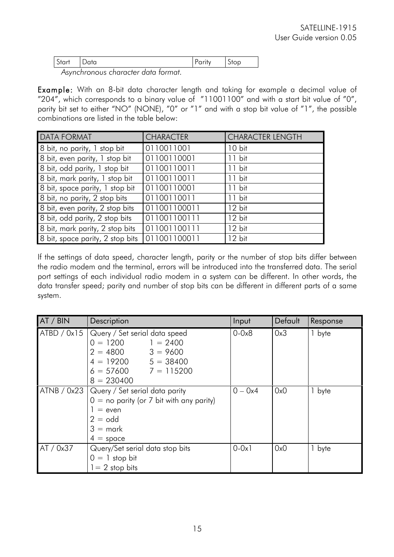| $\mathsf{Start}$ | - | <b>UIVP</b> |
|------------------|---|-------------|
| $\lambda$        |   |             |

*Asynchronous character data format.*

Example: With an 8-bit data character length and taking for example a decimal value of "204", which corresponds to a binary value of "11001100" and with a start bit value of "0", parity bit set to either "NO" (NONE), "0" or "1" and with a stop bit value of "1", the possible combinations are listed in the table below:

| <b>DATA FORMAT</b>               | <b>CHARACTER</b> | <b>CHARACTER LENGTH</b> |
|----------------------------------|------------------|-------------------------|
| 8 bit, no parity, 1 stop bit     | 0110011001       | $10$ bit                |
| 8 bit, even parity, 1 stop bit   | 01100110001      | 11 bit                  |
| 8 bit, odd parity, 1 stop bit    | 01100110011      | $11$ bit                |
| 8 bit, mark parity, 1 stop bit   | 01100110011      | $11$ bit                |
| 8 bit, space parity, 1 stop bit  | 01100110001      | $11$ bit                |
| 8 bit, no parity, 2 stop bits    | 01100110011      | $11$ bit                |
| 8 bit, even parity, 2 stop bits  | 011001100011     | $12$ bit                |
| 8 bit, odd parity, 2 stop bits   | 011001100111     | $12$ bit                |
| 8 bit, mark parity, 2 stop bits  | 011001100111     | 12 bit                  |
| 8 bit, space parity, 2 stop bits | 011001100011     | 12 bit                  |

If the settings of data speed, character length, parity or the number of stop bits differ between the radio modem and the terminal, errors will be introduced into the transferred data. The serial port settings of each individual radio modem in a system can be different. In other words, the data transfer speed; parity and number of stop bits can be different in different parts of a same system.

| AT / BIN  | Description                                                                                                                                                          | Input      | Default | Response |
|-----------|----------------------------------------------------------------------------------------------------------------------------------------------------------------------|------------|---------|----------|
|           | ATBD / 0x15   Query / Set serial data speed<br>$0 = 1200$ $1 = 2400$<br>$2 = 4800$ $3 = 9600$<br>$4 = 19200$ $5 = 38400$<br>$6 = 57600$ $7 = 115200$<br>$8 = 230400$ | $0 - 0x8$  | 0x3     | 1 byte   |
|           | ATNB / 0x23   Query / Set serial data parity<br>$0 =$ no parity (or 7 bit with any parity)<br>$=$ even<br>$2 =$ odd<br>$3 =$ mark<br>$4 =$ space                     | $0 - 0x4$  | 0x0     | 1 byte   |
| AT / 0x37 | Query/Set serial data stop bits<br>$0 = 1$ stop bit<br>$1 = 2$ stop bits                                                                                             | $0 - 0x$ ] | 0x0     | 1 byte   |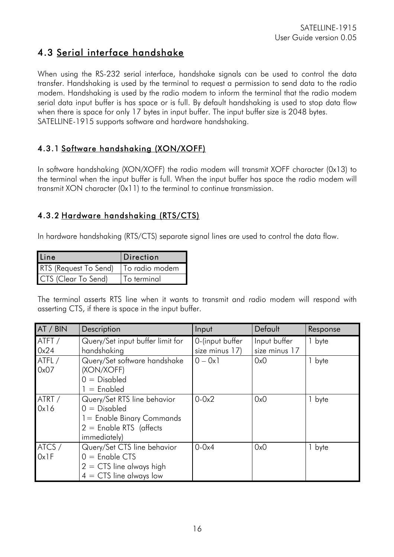### 4.3 Serial interface handshake

When using the RS-232 serial interface, handshake signals can be used to control the data transfer. Handshaking is used by the terminal to request a permission to send data to the radio modem. Handshaking is used by the radio modem to inform the terminal that the radio modem serial data input buffer is has space or is full. By default handshaking is used to stop data flow when there is space for only 17 bytes in input buffer. The input buffer size is 2048 bytes. SATELLINE-1915 supports software and hardware handshaking.

#### 4.3.1 Software handshaking (XON/XOFF)

In software handshaking (XON/XOFF) the radio modem will transmit XOFF character (0x13) to the terminal when the input buffer is full. When the input buffer has space the radio modem will transmit XON character (0x11) to the terminal to continue transmission.

#### 4.3.2 Hardware handshaking (RTS/CTS)

In hardware handshaking (RTS/CTS) separate signal lines are used to control the data flow.

| <b>I</b> Line         | Direction      |
|-----------------------|----------------|
| RTS (Request To Send) | To radio modem |
| CTS (Clear To Send)   | To terminal    |

The terminal asserts RTS line when it wants to transmit and radio modem will respond with asserting CTS, if there is space in the input buffer.

| AT / BIN       | Description                                                                                                               | Input                             | Default                       | Response |
|----------------|---------------------------------------------------------------------------------------------------------------------------|-----------------------------------|-------------------------------|----------|
| ATFT/<br>0x24  | Query/Set input buffer limit for<br>handshaking                                                                           | 0-(input buffer<br>size minus 17) | Input buffer<br>size minus 17 | 1 byte   |
| ATFL/<br>0x07  | Query/Set software handshake<br>(XON/XOFF)<br>$0 = Disabeled$<br>$1 =$ Enabled                                            | $0 - 0x1$                         | 0x0                           | 1 byte   |
| ATRT /<br>0x16 | Query/Set RTS line behavior<br>$0 = Disabeled$<br>1 = Enable Binary Commands<br>$2 =$ Enable RTS (affects<br>immediately) | $0 - 0x2$                         | 0x0                           | byte     |
| ATCS /<br>0x1F | Query/Set CTS line behavior<br>$0 =$ Enable CTS<br>$2 = CTS$ line always high<br>$4 = CTS$ line always low                | $0-0x4$                           | 0x0                           | 1 byte   |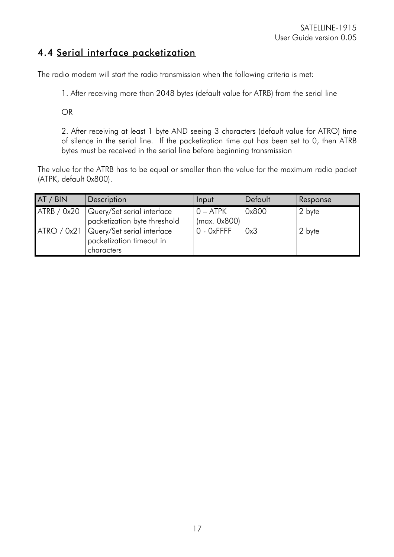### 4.4 Serial interface packetization

The radio modem will start the radio transmission when the following criteria is met:

1. After receiving more than 2048 bytes (default value for ATRB) from the serial line

OR

2. After receiving at least 1 byte AND seeing 3 characters (default value for ATRO) time of silence in the serial line. If the packetization time out has been set to 0, then ATRB bytes must be received in the serial line before beginning transmission

The value for the ATRB has to be equal or smaller than the value for the maximum radio packet (ATPK, default 0x800).

| AT / BIN    | <b>Description</b>                                                                 | Input                      | Default | Response |
|-------------|------------------------------------------------------------------------------------|----------------------------|---------|----------|
| ATRB / 0x20 | Query/Set serial interface<br>packetization byte threshold                         | $0 - ATPK$<br>(max. 0x800) | 0x800   | 2 byte   |
|             | ATRO / 0x21   Query/Set serial interface<br>packetization timeout in<br>characters | $0 - 0x$ FFFF              | 0x3     | 2 byte   |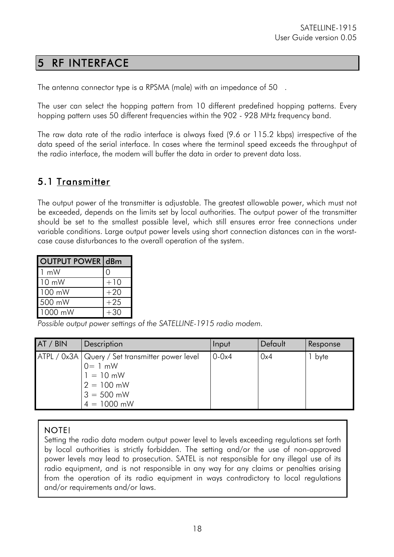## 5 RF INTERFACE

The antenna connector type is a RPSMA (male) with an impedance of 50 .

The user can select the hopping pattern from 10 different predefined hopping patterns. Every hopping pattern uses 50 different frequencies within the 902 - 928 MHz frequency band.

The raw data rate of the radio interface is always fixed (9.6 or 115.2 kbps) irrespective of the data speed of the serial interface. In cases where the terminal speed exceeds the throughput of the radio interface, the modem will buffer the data in order to prevent data loss.

### 5.1 Transmitter

The output power of the transmitter is adjustable. The greatest allowable power, which must not be exceeded, depends on the limits set by local authorities. The output power of the transmitter should be set to the smallest possible level, which still ensures error free connections under variable conditions. Large output power levels using short connection distances can in the worstcase cause disturbances to the overall operation of the system.

| <b>OUTPUT POWER dBm</b> |       |
|-------------------------|-------|
| $1 \text{ mW}$          |       |
| $10 \text{ mW}$         | $+10$ |
| 100 mW                  | $+20$ |
| 500 mW                  | $+25$ |
| 1000 mW                 | $+30$ |

*Possible output power settings of the SATELLINE-1915 radio modem.*

| AT / BIN | Description                                                                                                                     | Input     | Default | Response |
|----------|---------------------------------------------------------------------------------------------------------------------------------|-----------|---------|----------|
|          | ATPL / 0x3A   Query / Set transmitter power level<br>$0 = 1$ mW<br>$1 = 10$ mW<br>$2 = 100$ mW<br>$3 = 500$ mW<br>$4 = 1000$ mW | $0 - 0x4$ | 0x4     | byte     |

#### NOTE!

Setting the radio data modem output power level to levels exceeding regulations set forth by local authorities is strictly forbidden. The setting and/or the use of non-approved power levels may lead to prosecution. SATEL is not responsible for any illegal use of its radio equipment, and is not responsible in any way for any claims or penalties arising from the operation of its radio equipment in ways contradictory to local regulations and/or requirements and/or laws.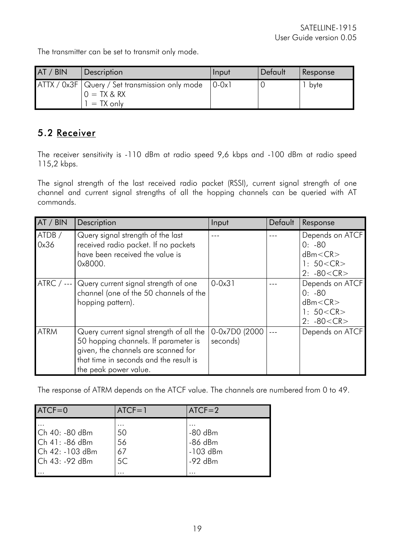The transmitter can be set to transmit only mode.

| AT / BIN | Description                                                                                              | <b>Input</b> | Default | Response |
|----------|----------------------------------------------------------------------------------------------------------|--------------|---------|----------|
|          | $ATTX / 0x3F$ Query / Set transmission only mode $\vert 0.0x1 \rangle$<br>$0 = TX & RX$<br>$l = TX$ only |              |         | bvte     |

### 5.2 Receiver

The receiver sensitivity is -110 dBm at radio speed 9,6 kbps and -100 dBm at radio speed 115,2 kbps.

The signal strength of the last received radio packet (RSSI), current signal strength of one channel and current signal strengths of all the hopping channels can be queried with AT commands.

| AT / BIN       | Description                                                                                                                                                                                | Input                      | Default | Response                                                                 |
|----------------|--------------------------------------------------------------------------------------------------------------------------------------------------------------------------------------------|----------------------------|---------|--------------------------------------------------------------------------|
| ATDB /<br>0x36 | Query signal strength of the last<br>received radio packet. If no packets<br>have been received the value is<br>0x8000.                                                                    |                            |         | Depends on ATCF<br>$0: -80$<br>dBm < CR<br>1: $50 < CR$<br>$2: -80 < CR$ |
| $ATRC / ---$   | Query current signal strength of one<br>channel (one of the 50 channels of the<br>hopping pattern).                                                                                        | $0 - 0x31$                 |         | Depends on ATCF<br>$0: -80$<br>dBm < CR<br>1: $50 < CR$<br>$2: -80 < CR$ |
| <b>ATRM</b>    | Query current signal strength of all the<br>50 hopping channels. If parameter is<br>given, the channels are scanned for<br>that time in seconds and the result is<br>the peak power value. | 0-0x7D0 (2000)<br>seconds) |         | Depends on ATCF                                                          |

The response of ATRM depends on the ATCF value. The channels are numbered from 0 to 49.

| $ATCF = 0$                                                             | $ATCF = 1$                | $ATCF = 2$                                        |
|------------------------------------------------------------------------|---------------------------|---------------------------------------------------|
| Ch 40: -80 dBm<br>Ch 41: - 86 dBm<br>Ch 42: -103 dBm<br>Ch 43: -92 dBm | 50<br>56<br>67<br>5C<br>. | $-80$ dBm<br>$-86$ dBm<br>$-103$ dBm<br>$-92$ dBm |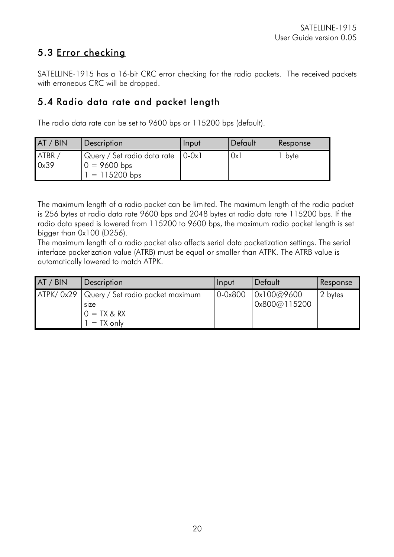## 5.3 Error checking

SATELLINE-1915 has a 16-bit CRC error checking for the radio packets. The received packets with erroneous CRC will be dropped.

### 5.4 Radio data rate and packet length

The radio data rate can be set to 9600 bps or 115200 bps (default).

| AT / BIN      | Description                                                               | Input | Default | Response |
|---------------|---------------------------------------------------------------------------|-------|---------|----------|
| ATBR/<br>0x39 | Query / Set radio data rate   0-0x1<br>$0 = 9600$ bps<br>$1 = 115200$ bps |       | 0x1     | byte     |

The maximum length of a radio packet can be limited. The maximum length of the radio packet is 256 bytes at radio data rate 9600 bps and 2048 bytes at radio data rate 115200 bps. If the radio data speed is lowered from 115200 to 9600 bps, the maximum radio packet length is set bigger than 0x100 (D256).

The maximum length of a radio packet also affects serial data packetization settings. The serial interface packetization value (ATRB) must be equal or smaller than ATPK. The ATRB value is automatically lowered to match ATPK.

| AT / BIN | Description                                                                          | Input   | Default                    | Response |
|----------|--------------------------------------------------------------------------------------|---------|----------------------------|----------|
|          | ATPK/0x29   Query / Set radio packet maximum<br>size<br>$0 = TX & RX$<br>$= TX$ only | 0.0x800 | 0x100@9600<br>0x800@115200 | 2 bytes  |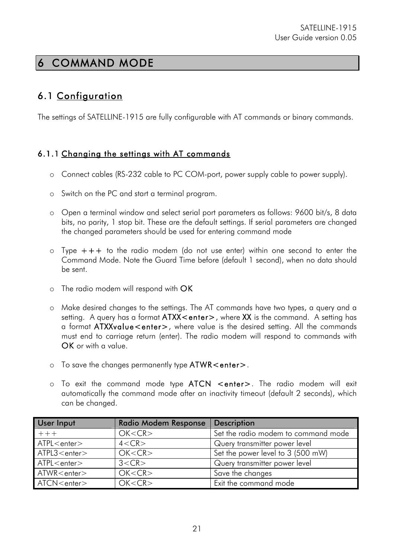## 6 COMMAND MODE

### 6.1 Configuration

The settings of SATELLINE-1915 are fully configurable with AT commands or binary commands.

#### 6.1.1 Changing the settings with AT commands

- o Connect cables (RS-232 cable to PC COM-port, power supply cable to power supply).
- o Switch on the PC and start a terminal program.
- o Open a terminal window and select serial port parameters as follows: 9600 bit/s, 8 data bits, no parity, 1 stop bit. These are the default settings. If serial parameters are changed the changed parameters should be used for entering command mode
- o Type +++ to the radio modem (do not use enter) within one second to enter the Command Mode. Note the Guard Time before (default 1 second), when no data should be sent.
- o The radio modem will respond with OK
- o Make desired changes to the settings. The AT commands have two types, a query and a setting. A query has a format ATXX < enter>, where XX is the command. A setting has a format ATXXvalue<enter>, where value is the desired setting. All the commands must end to carriage return (enter). The radio modem will respond to commands with OK or with a value.
- o To save the changes permanently type ATWR<enter>.
- o To exit the command mode type ATCN <enter>. The radio modem will exit automatically the command mode after an inactivity timeout (default 2 seconds), which can be changed.

| <b>User Input</b>     | <b>Radio Modem Response</b> | <b>Description</b>                  |
|-----------------------|-----------------------------|-------------------------------------|
| $+++$                 | OK < CR                     | Set the radio modem to command mode |
| ATPL <enter></enter>  | 4 < CR                      | Query transmitter power level       |
| ATPL3 <enter></enter> | OK < CR                     | Set the power level to 3 (500 mW)   |
| ATPL <enter></enter>  | 3 < CR                      | Query transmitter power level       |
| $ATWR$ < enter >      | OK < CR                     | Save the changes                    |
| ATCN <enter></enter>  | OK < CR                     | Exit the command mode               |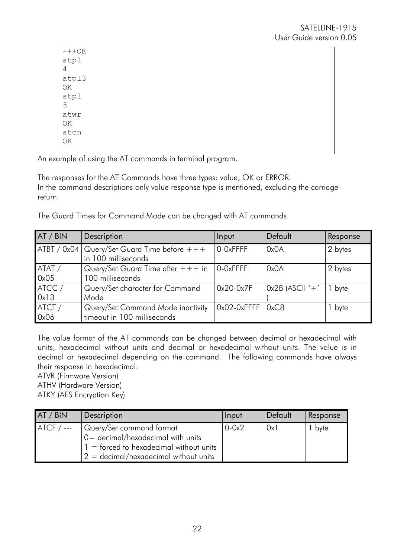| $+++OK$                |
|------------------------|
| atpl                   |
| $\sqrt{4}$             |
| atpl3                  |
| $\mathbb{O}\mathbf{K}$ |
| atpl                   |
| $\mathfrak{Z}$         |
| atwr                   |
| ΟK                     |
| atcn                   |
| OK                     |
|                        |

An example of using the AT commands in terminal program.

The responses for the AT Commands have three types: value, OK or ERROR. In the command descriptions only value response type is mentioned, excluding the carriage return.

The Guard Times for Command Mode can be changed with AT commands.

| AT / BIN | Description                                     | Input                | Default           | Response |
|----------|-------------------------------------------------|----------------------|-------------------|----------|
|          | $ATBT / 0x04$ Query/Set Guard Time before $+++$ | 0-0xFFFF             | 0x0A              | 2 bytes  |
|          | in 100 milliseconds                             |                      |                   |          |
| ATAT/    | Query/Set Guard Time after $+++$ in             | O-OxFFFF             | 0x0A              | 2 bytes  |
| 0x05     | 100 milliseconds                                |                      |                   |          |
| ATCC /   | Query/Set character for Command                 | $0x20-0x7F$          | $Ox2B$ (ASCII '+' | 1 byte   |
| 0x13     | Mode                                            |                      |                   |          |
| ATCT/    | Query/Set Command Mode inactivity               | $0x02-0xFFFF   0xC8$ |                   | byte     |
| 0x06     | timeout in 100 milliseconds                     |                      |                   |          |

The value format of the AT commands can be changed between decimal or hexadecimal with units, hexadecimal without units and decimal or hexadecimal without units. The value is in decimal or hexadecimal depending on the command. The following commands have always their response in hexadecimal:

ATVR (Firmware Version)

ATHV (Hardware Version)

ATKY (AES Encryption Key)

| AT / BIN     | Description                                                                                                                                              | Input     | Default | Response |
|--------------|----------------------------------------------------------------------------------------------------------------------------------------------------------|-----------|---------|----------|
| $ATCF / ---$ | Query/Set command format<br>$0 = decimal/hexadecimal$ with units<br>$1 =$ forced to hexadecimal without units<br>$2 =$ decimal/hexadecimal without units | $0 - 0x2$ | 0x      | byte     |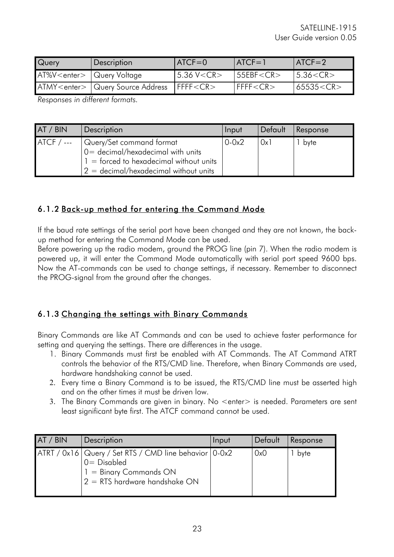| Query                                | <b>Description</b>                           | $ATCF = 0$          | $ATCF = 1$ | $ATCF = 2$       |
|--------------------------------------|----------------------------------------------|---------------------|------------|------------------|
| AT%V <enter>   Query Voltage</enter> |                                              | $5.36$ V $<$ CR $>$ | 55EBF < CR | $ 5.36<$ CR $>$  |
|                                      | 'ATMY <enter>   Query Source Address</enter> | IFFF < CR           | FFFF < CR  | $ 65535<$ CR $>$ |

*Responses in different formats.*

| AT / BIN    | Description                                                                                                                                            | Input     | Default | Response |
|-------------|--------------------------------------------------------------------------------------------------------------------------------------------------------|-----------|---------|----------|
| $ATCF / --$ | Query/Set command format<br>0 = decimal/hexadecimal with units<br>$1 =$ forced to hexadecimal without units<br>$2 = decimal/hexadecimal$ without units | $0 - 0x2$ | 0x1     | byte     |

#### 6.1.2 Back-up method for entering the Command Mode

If the baud rate settings of the serial port have been changed and they are not known, the backup method for entering the Command Mode can be used.

Before powering up the radio modem, ground the PROG line (pin 7). When the radio modem is powered up, it will enter the Command Mode automatically with serial port speed 9600 bps. Now the AT-commands can be used to change settings, if necessary. Remember to disconnect the PROG-signal from the ground after the changes.

#### 6.1.3 Changing the settings with Binary Commands

Binary Commands are like AT Commands and can be used to achieve faster performance for setting and querying the settings. There are differences in the usage.

- 1. Binary Commands must first be enabled with AT Commands. The AT Command ATRT controls the behavior of the RTS/CMD line. Therefore, when Binary Commands are used, hardware handshaking cannot be used.
- 2. Every time a Binary Command is to be issued, the RTS/CMD line must be asserted high and on the other times it must be driven low.
- 3. The Binary Commands are given in binary. No <enter> is needed. Parameters are sent least significant byte first. The ATCF command cannot be used.

| AT / BIN | Description                                                                                                                                | Input | Default | Response |
|----------|--------------------------------------------------------------------------------------------------------------------------------------------|-------|---------|----------|
|          | ATRT / 0x16   Query / Set RTS / CMD line behavior   0-0x2<br>$0 =$ Disabled<br>$1 =$ Binary Commands ON<br>$2 =$ RTS hardware handshake ON |       | 0x0     | byte     |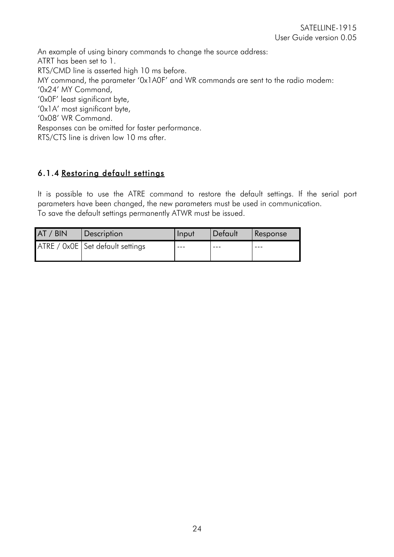An example of using binary commands to change the source address: ATRT has been set to 1. RTS/CMD line is asserted high 10 ms before. MY command, the parameter '0x1A0F' and WR commands are sent to the radio modem: '0x24' MY Command, '0x0F' least significant byte, '0x1A' most significant byte, '0x08' WR Command. Responses can be omitted for faster performance. RTS/CTS line is driven low 10 ms after.

### 6.1.4 Restoring default settings

It is possible to use the ATRE command to restore the default settings. If the serial port parameters have been changed, the new parameters must be used in communication. To save the default settings permanently ATWR must be issued.

| AT / BIN | <b>Description</b>                 | <b>Input</b> | Default | Response |
|----------|------------------------------------|--------------|---------|----------|
|          | ATRE / 0x0E   Set default settings | $- - -$      |         |          |
|          |                                    |              |         |          |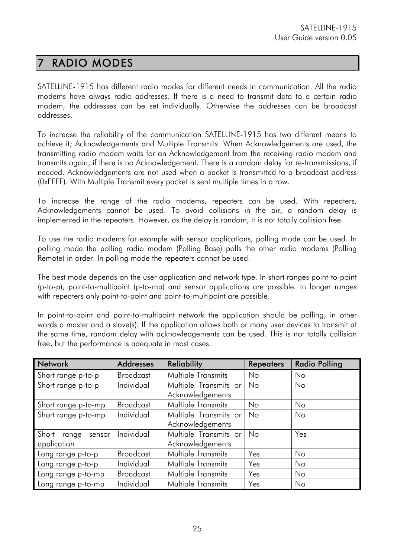## 7 RADIO MODES

SATELLINE-1915 has different radio modes for different needs in communication. All the radio modems have always radio addresses. If there is a need to transmit data to a certain radio modem, the addresses can be set individually. Otherwise the addresses can be broadcast addresses.

To increase the reliability of the communication SATELLINE-1915 has two different means to achieve it; Acknowledgements and Multiple Transmits. When Acknowledgements are used, the transmitting radio modem waits for an Acknowledgement from the receiving radio modem and transmits again, if there is no Acknowledgement. There is a random delay for re-transmissions, if needed. Acknowledgements are not used when a packet is transmitted to a broadcast address (0xFFFF). With Multiple Transmit every packet is sent multiple times in a row.

To increase the range of the radio modems, repeaters can be used. With repeaters, Acknowledgements cannot be used. To avoid collisions in the air, a random delay is implemented in the repeaters. However, as the delay is random, it is not totally collision free.

To use the radio modems for example with sensor applications, polling mode can be used. In polling mode the polling radio modem (Polling Base) polls the other radio modems (Polling Remote) in order. In polling mode the repeaters cannot be used.

The best mode depends on the user application and network type. In short ranges point-to-point (p-to-p), point-to-multipoint (p-to-mp) and sensor applications are possible. In longer ranges with repeaters only point-to-point and point-to-multipoint are possible.

In point-to-point and point-to-multipoint network the application should be polling, in other words a master and a slave(s). If the application allows both or many user devices to transmit at the same time, random delay with acknowledgements can be used. This is not totally collision free, but the performance is adequate in most cases.

| <b>Network</b>                          | <b>Addresses</b> | <b>Reliability</b>                        | <b>Repeaters</b> | <b>Radio Polling</b> |
|-----------------------------------------|------------------|-------------------------------------------|------------------|----------------------|
| Short range p-to-p                      | <b>Broadcast</b> | <b>Multiple Transmits</b>                 | No               | No                   |
| Short range p-to-p                      | Individual       | Multiple Transmits or<br>Acknowledgements | No               | No                   |
| Short range p-to-mp                     | <b>Broadcast</b> | <b>Multiple Transmits</b>                 | No               | No                   |
| Short range p-to-mp                     | Individual       | Multiple Transmits or<br>Acknowledgements | No               | No                   |
| Short<br>sensor<br>range<br>application | Individual       | Multiple Transmits or<br>Acknowledgements | No               | Yes                  |
| Long range p-to-p                       | <b>Broadcast</b> | Multiple Transmits                        | Yes              | No                   |
| Long range p-to-p                       | Individual       | <b>Multiple Transmits</b>                 | Yes              | No                   |
| Long range p-to-mp                      | <b>Broadcast</b> | <b>Multiple Transmits</b>                 | Yes              | <b>No</b>            |
| Long range p-to-mp                      | Individual       | <b>Multiple Transmits</b>                 | Yes              | No                   |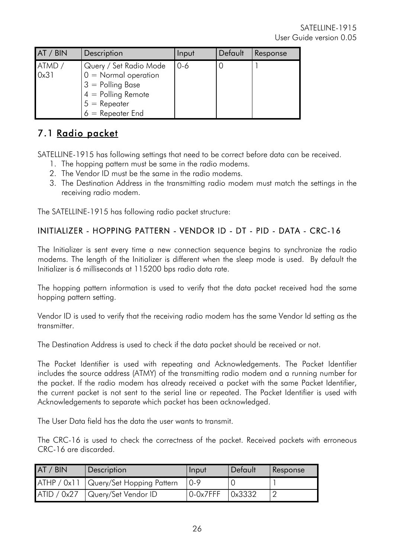| AT / BIN       | Description                                                                                                                            | Input | Default | Response |
|----------------|----------------------------------------------------------------------------------------------------------------------------------------|-------|---------|----------|
| ATMD /<br>0x31 | Query / Set Radio Mode<br>$0 =$ Normal operation<br>$3 =$ Polling Base<br>$4 =$ Polling Remote<br>$5 =$ Repeater<br>$6 =$ Repeater End | 0-6   |         |          |

### 7.1 Radio packet

SATELLINE-1915 has following settings that need to be correct before data can be received.

- 1. The hopping pattern must be same in the radio modems.
- 2. The Vendor ID must be the same in the radio modems.
- 3. The Destination Address in the transmitting radio modem must match the settings in the receiving radio modem.

The SATELLINE-1915 has following radio packet structure:

#### INITIALIZER - HOPPING PATTERN - VENDOR ID - DT - PID - DATA - CRC-16

The Initializer is sent every time a new connection sequence begins to synchronize the radio modems. The length of the Initializer is different when the sleep mode is used. By default the Initializer is 6 milliseconds at 115200 bps radio data rate.

The hopping pattern information is used to verify that the data packet received had the same hopping pattern setting.

Vendor ID is used to verify that the receiving radio modem has the same Vendor Id setting as the transmitter.

The Destination Address is used to check if the data packet should be received or not.

The Packet Identifier is used with repeating and Acknowledgements. The Packet Identifier includes the source address (ATMY) of the transmitting radio modem and a running number for the packet. If the radio modem has already received a packet with the same Packet Identifier, the current packet is not sent to the serial line or repeated. The Packet Identifier is used with Acknowledgements to separate which packet has been acknowledged.

The User Data field has the data the user wants to transmit.

The CRC-16 is used to check the correctness of the packet. Received packets with erroneous CRC-16 are discarded.

| AT / BIN | Description                             | Input         | l Default      | Response |
|----------|-----------------------------------------|---------------|----------------|----------|
|          | ATHP / 0x11   Query/Set Hopping Pattern | 0.9           |                |          |
|          | ATID / 0x27   Query/Set Vendor ID       | $0 - 0x$ 7FFF | $\vert$ 0x3332 |          |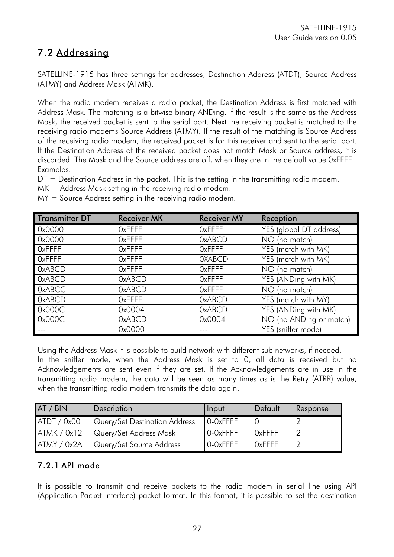## 7.2 Addressing

SATELLINE-1915 has three settings for addresses, Destination Address (ATDT), Source Address (ATMY) and Address Mask (ATMK).

When the radio modem receives a radio packet, the Destination Address is first matched with Address Mask. The matching is a bitwise binary ANDing. If the result is the same as the Address Mask, the received packet is sent to the serial port. Next the receiving packet is matched to the receiving radio modems Source Address (ATMY). If the result of the matching is Source Address of the receiving radio modem, the received packet is for this receiver and sent to the serial port. If the Destination Address of the received packet does not match Mask or Source address, it is discarded. The Mask and the Source address are off, when they are in the default value 0xFFFF. Examples:

DT = Destination Address in the packet. This is the setting in the transmitting radio modem.

MK = Address Mask setting in the receiving radio modem.

MY = Source Address setting in the receiving radio modem.

| <b>Transmitter DT</b> | <b>Receiver MK</b> | <b>Receiver MY</b> | Reception               |
|-----------------------|--------------------|--------------------|-------------------------|
| 0x0000                | <b>OxFFFF</b>      | <b>OxFFFF</b>      | YES (global DT address) |
| 0x0000                | <b>OxFFFF</b>      | <b>OxABCD</b>      | NO (no match)           |
| <b>OxFFFF</b>         | <b>OxFFFF</b>      | <b>OxFFFF</b>      | YES (match with MK)     |
| <b>OxFFFF</b>         | <b>OxFFFF</b>      | <b>OXABCD</b>      | YES (match with MK)     |
| <b>OxABCD</b>         | <b>OxFFFF</b>      | <b>OxFFFF</b>      | NO (no match)           |
| <b>OxABCD</b>         | <b>OxABCD</b>      | <b>OxFFFF</b>      | YES (ANDing with MK)    |
| <b>OxABCC</b>         | <b>OxABCD</b>      | <b>OxFFFF</b>      | NO (no match)           |
| <b>OxABCD</b>         | <b>OxFFFF</b>      | <b>OxABCD</b>      | YES (match with MY)     |
| 0x000C                | 0x0004             | <b>OxABCD</b>      | YES (ANDing with MK)    |
| 0x000C                | <b>OxABCD</b>      | 0x0004             | NO (no ANDing or match) |
|                       | 0x0000             |                    | YES (sniffer mode)      |

Using the Address Mask it is possible to build network with different sub networks, if needed. In the sniffer mode, when the Address Mask is set to 0, all data is received but no Acknowledgements are sent even if they are set. If the Acknowledgements are in use in the transmitting radio modem, the data will be seen as many times as is the Retry (ATRR) value, when the transmitting radio modem transmits the data again.

| AT / BIN    | Description                   | Input    | Default       | Response |
|-------------|-------------------------------|----------|---------------|----------|
| ATDT / 0x00 | Query/Set Destination Address | O-OxFFFF |               |          |
| ATMK / 0x12 | Query/Set Address Mask        | O-OxFFFF | $Ox$ FFFF     |          |
| ATMY / 0x2A | Query/Set Source Address      | O-OxFFFF | <b>OxFFFF</b> |          |

#### 7.2.1 API mode

It is possible to transmit and receive packets to the radio modem in serial line using API (Application Packet Interface) packet format. In this format, it is possible to set the destination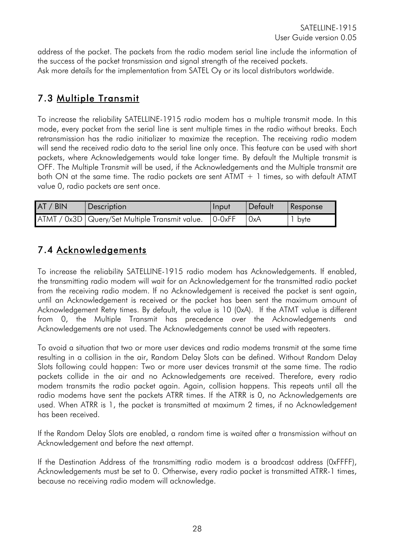address of the packet. The packets from the radio modem serial line include the information of the success of the packet transmission and signal strength of the received packets. Ask more details for the implementation from SATEL Oy or its local distributors worldwide.

## 7.3 Multiple Transmit

To increase the reliability SATELLINE-1915 radio modem has a multiple transmit mode. In this mode, every packet from the serial line is sent multiple times in the radio without breaks. Each retransmission has the radio initializer to maximize the reception. The receiving radio modem will send the received radio data to the serial line only once. This feature can be used with short packets, where Acknowledgements would take longer time. By default the Multiple transmit is OFF. The Multiple Transmit will be used, if the Acknowledgements and the Multiple transmit are both ON at the same time. The radio packets are sent  $ATMT + 1$  times, so with default ATMT value 0, radio packets are sent once.

| AT / BIN | Description                                               | Input | <i>Default</i> | Response |
|----------|-----------------------------------------------------------|-------|----------------|----------|
|          | ATMT / 0x3D   Query/Set Multiple Transmit value.   0-0xFF |       | 0xA            | byte     |

### 7.4 Acknowledgements

To increase the reliability SATELLINE-1915 radio modem has Acknowledgements. If enabled, the transmitting radio modem will wait for an Acknowledgement for the transmitted radio packet from the receiving radio modem. If no Acknowledgement is received the packet is sent again, until an Acknowledgement is received or the packet has been sent the maximum amount of Acknowledgement Retry times. By default, the value is 10 (0xA). If the ATMT value is different from 0, the Multiple Transmit has precedence over the Acknowledgements and Acknowledgements are not used. The Acknowledgements cannot be used with repeaters.

To avoid a situation that two or more user devices and radio modems transmit at the same time resulting in a collision in the air, Random Delay Slots can be defined. Without Random Delay Slots following could happen: Two or more user devices transmit at the same time. The radio packets collide in the air and no Acknowledgements are received. Therefore, every radio modem transmits the radio packet again. Again, collision happens. This repeats until all the radio modems have sent the packets ATRR times. If the ATRR is 0, no Acknowledgements are used. When ATRR is 1, the packet is transmitted at maximum 2 times, if no Acknowledgement has been received.

If the Random Delay Slots are enabled, a random time is waited after a transmission without an Acknowledgement and before the next attempt.

If the Destination Address of the transmitting radio modem is a broadcast address (0xFFFF), Acknowledgements must be set to 0. Otherwise, every radio packet is transmitted ATRR-1 times, because no receiving radio modem will acknowledge.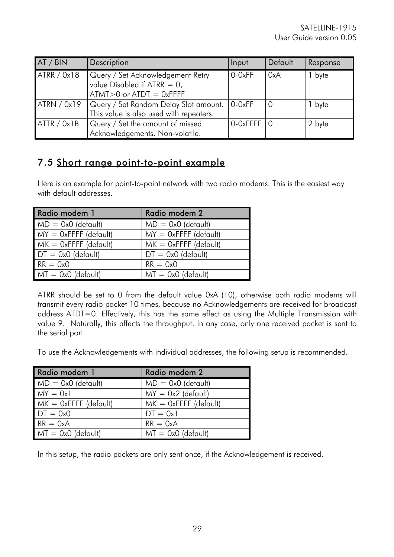| AT / BIN    | Description                             | Input            | Default | Response |
|-------------|-----------------------------------------|------------------|---------|----------|
| ATRR / 0x18 | Query / Set Acknowledgement Retry       | 0-0xFF           | 0xA     | byte     |
|             | value Disabled if ATRR $= 0$ ,          |                  |         |          |
|             | $ATMT>0$ or $ATDT = 0xFFFF$             |                  |         |          |
| ATRN / 0x19 | Query / Set Random Delay Slot amount.   | $0 - 0xFF$       |         | byte     |
|             | This value is also used with repeaters. |                  |         |          |
| ATTR / 0x1B | Query / Set the amount of missed        | $0$ -OxFFFF $ 0$ |         | 2 byte   |
|             | Acknowledgements. Non-volatile.         |                  |         |          |

### 7.5 Short range point-to-point example

Here is an example for point-to-point network with two radio modems. This is the easiest way with default addresses.

| Radio modem 1           | Radio modem 2           |
|-------------------------|-------------------------|
| $MD = Ox0$ (default)    | $MD = Ox0$ (default)    |
| $MY = OxFFFF$ (default) | $MY = OxFFFF$ (default) |
| $MK = OxFFFF$ (default) | $MK = OxFFFF$ (default) |
| $DT = 0x0$ (default)    | $DT = 0x0$ (default)    |
| $RR = 0x0$              | $RR = 0x0$              |
| $MT = 0x0$ (default)    | $MT = 0x0$ (default)    |

ATRR should be set to 0 from the default value 0xA (10), otherwise both radio modems will transmit every radio packet 10 times, because no Acknowledgements are received for broadcast address ATDT=0. Effectively, this has the same effect as using the Multiple Transmission with value 9. Naturally, this affects the throughput. In any case, only one received packet is sent to the serial port.

To use the Acknowledgements with individual addresses, the following setup is recommended.

| Radio modem 1           | Radio modem 2           |
|-------------------------|-------------------------|
| $MD = 0x0$ (default)    | $MD = Ox0$ (default)    |
| $MY = 0x1$              | $MY = 0x2$ (default)    |
| $MK = OxFFFF$ (default) | $MK = OxFFFF$ (default) |
| $DT = 0x0$              | $DT = 0x1$              |
| $RR = 0xA$              | $RR = 0xA$              |
| $MT = 0x0$ (default)    | $MT = 0x0$ (default)    |

In this setup, the radio packets are only sent once, if the Acknowledgement is received.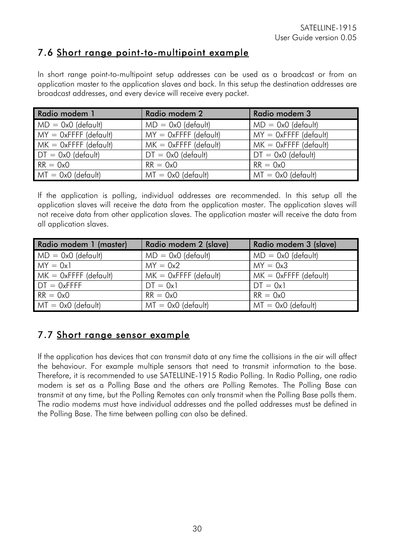### 7.6 Short range point-to-multipoint example

In short range point-to-multipoint setup addresses can be used as a broadcast or from an application master to the application slaves and back. In this setup the destination addresses are broadcast addresses, and every device will receive every packet.

| Radio modem 1           | Radio modem 2           | Radio modem 3           |
|-------------------------|-------------------------|-------------------------|
| $MD = 0x0$ (default)    | $MD = 0x0$ (default)    | $MD = 0x0$ (default)    |
| $MY = OxFFFF$ (default) | $MY = OxFFFF$ (default) | $MY = OxFFFF$ (default) |
| $MK = OxFFFF$ (default) | $MK = OxFFFF$ (default) | $MK = OxFFFF$ (default) |
| $DT = 0x0$ (default)    | $DT = 0x0$ (default)    | $DT = 0x0$ (default)    |
| $RR = 0x0$              | $RR = 0x0$              | $RR = 0x0$              |
| $MT = 0x0$ (default)    | $MT = 0x0$ (default)    | $MT = 0x0$ (default)    |

If the application is polling, individual addresses are recommended. In this setup all the application slaves will receive the data from the application master. The application slaves will not receive data from other application slaves. The application master will receive the data from all application slaves.

| Radio modem 1 (master)  | Radio modem 2 (slave)   | Radio modem 3 (slave)   |
|-------------------------|-------------------------|-------------------------|
| $MD = 0x0$ (default)    | $MD = 0x0$ (default)    | $MD = Ox0$ (default)    |
| $MY = 0x1$              | $MY = 0x2$              | $MY = 0x3$              |
| $MK = OxFFFF$ (default) | $MK = OxFFFF$ (default) | $MK = OxFFFF$ (default) |
| $DT = 0x$ FFFF          | $DT = 0x1$              | $DT = 0x1$              |
| $RR = 0x0$              | $RR = 0x0$              | $RR = 0x0$              |
| $MT = 0x0$ (default)    | $MT = 0x0$ (default)    | $MT = 0x0$ (default)    |

## 7.7 Short range sensor example

If the application has devices that can transmit data at any time the collisions in the air will affect the behaviour. For example multiple sensors that need to transmit information to the base. Therefore, it is recommended to use SATELLINE-1915 Radio Polling. In Radio Polling, one radio modem is set as a Polling Base and the others are Polling Remotes. The Polling Base can transmit at any time, but the Polling Remotes can only transmit when the Polling Base polls them. The radio modems must have individual addresses and the polled addresses must be defined in the Polling Base. The time between polling can also be defined.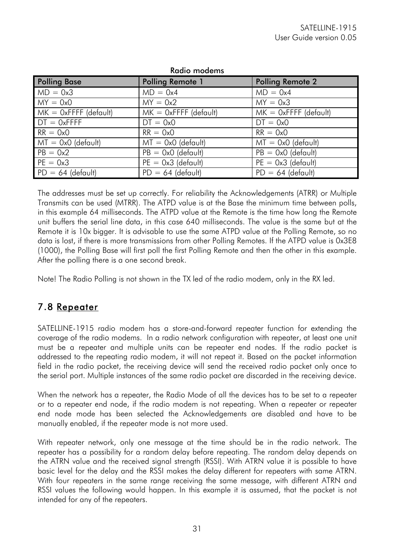| <b>Polling Base</b>     | <b>Polling Remote 1</b> | <b>Polling Remote 2</b> |
|-------------------------|-------------------------|-------------------------|
| $MD = 0x3$              | $MD = 0x4$              | $MD = 0x4$              |
| $MY = 0x0$              | $MY = 0x2$              | $MY = 0x3$              |
| $MK = OxFFFF$ (default) | $MK = OxFFFF$ (default) | $MK = OxFFFF$ (default) |
| $DT = 0x$ FFFF          | $DT = 0x0$              | $DT = 0x0$              |
| $RR = 0x0$              | $RR = 0x0$              | $RR = 0x0$              |
| $MT = 0x0$ (default)    | $MT = 0x0$ (default)    | $MT = 0x0$ (default)    |
| $PB = 0x2$              | $PB = 0x0$ (default)    | $PB = 0x0$ (default)    |
| $PE = 0x3$              | $PE = 0x3$ (default)    | $PE = 0x3$ (default)    |
| $PD = 64$ (default)     | $PD = 64$ (default)     | $PD = 64$ (default)     |

Radio modems

The addresses must be set up correctly. For reliability the Acknowledgements (ATRR) or Multiple Transmits can be used (MTRR). The ATPD value is at the Base the minimum time between polls, in this example 64 milliseconds. The ATPD value at the Remote is the time how long the Remote unit buffers the serial line data, in this case 640 milliseconds. The value is the same but at the Remote it is 10x bigger. It is advisable to use the same ATPD value at the Polling Remote, so no data is lost, if there is more transmissions from other Polling Remotes. If the ATPD value is 0x3E8 (1000), the Polling Base will first poll the first Polling Remote and then the other in this example. After the polling there is a one second break.

Note! The Radio Polling is not shown in the TX led of the radio modem, only in the RX led.

### 7.8 Repeater

SATELLINE-1915 radio modem has a store-and-forward repeater function for extending the coverage of the radio modems. In a radio network configuration with repeater, at least one unit must be a repeater and multiple units can be repeater end nodes. If the radio packet is addressed to the repeating radio modem, it will not repeat it. Based on the packet information field in the radio packet, the receiving device will send the received radio packet only once to the serial port. Multiple instances of the same radio packet are discarded in the receiving device.

When the network has a repeater, the Radio Mode of all the devices has to be set to a repeater or to a repeater end node, if the radio modem is not repeating. When a repeater or repeater end node mode has been selected the Acknowledgements are disabled and have to be manually enabled, if the repeater mode is not more used.

With repeater network, only one message at the time should be in the radio network. The repeater has a possibility for a random delay before repeating. The random delay depends on the ATRN value and the received signal strength (RSSI). With ATRN value it is possible to have basic level for the delay and the RSSI makes the delay different for repeaters with same ATRN. With four repeaters in the same range receiving the same message, with different ATRN and RSSI values the following would happen. In this example it is assumed, that the packet is not intended for any of the repeaters.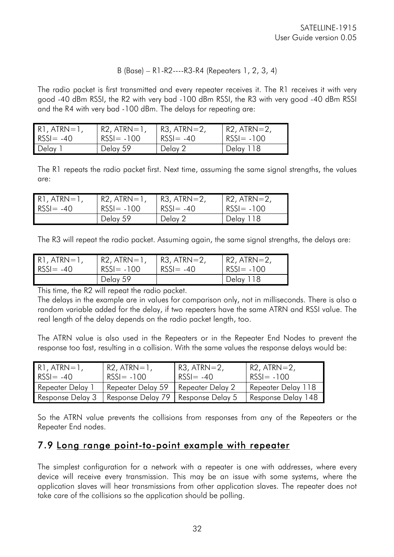#### B (Base) – R1-R2----R3-R4 (Repeaters 1, 2, 3, 4)

The radio packet is first transmitted and every repeater receives it. The R1 receives it with very good -40 dBm RSSI, the R2 with very bad -100 dBm RSSI, the R3 with very good -40 dBm RSSI and the R4 with very bad -100 dBm. The delays for repeating are:

| $\overline{R}$ . ATRN=1, | $R2$ , $ATRN=1$ , | $R3$ , ATRN $=$ 2, | I R2, ATRN=2, |
|--------------------------|-------------------|--------------------|---------------|
| $RSSI = -40$             | $RSSI = -100$     | $RSSI = -40$       | $RSSI = -100$ |
| Delay                    | Delay 59          | Delay 2            | Delay 118     |

The R1 repeats the radio packet first. Next time, assuming the same signal strengths, the values are:

| R1, ATRN=1,  | $R2$ , $ATRN=1$ , | $R3$ , $ATRN=2$ , | $ $ R2, ATRN=2, |
|--------------|-------------------|-------------------|-----------------|
| $RSSI = -40$ | $RSSI = -100$     | $RSSI = -40$      | $RSSI = -100$   |
|              | Delay 59          | Delay 2           | Delay 118       |

The R3 will repeat the radio packet. Assuming again, the same signal strengths, the delays are:

| $R1$ , $ATRN=1$ , | $R2$ , $ATRN=1$ | $R3$ , $ATRN=2$ , | R2, ATRN=2,   |
|-------------------|-----------------|-------------------|---------------|
| $RSSI = -40$      | $RSSI = -100$   | $RSSI = -40$      | $RSSI = -100$ |
|                   | Delay 59        |                   | Delay 118     |

This time, the R2 will repeat the radio packet.

The delays in the example are in values for comparison only, not in milliseconds. There is also a random variable added for the delay, if two repeaters have the same ATRN and RSSI value. The real length of the delay depends on the radio packet length, too.

The ATRN value is also used in the Repeaters or in the Repeater End Nodes to prevent the response too fast, resulting in a collision. With the same values the response delays would be:

| $\mathsf{R1}$ , ATRN=1, | $R2$ , $ATRN=1$ ,                                       | $R3$ , ATRN=2,   | $R2$ , $ATRN=2$ ,  |
|-------------------------|---------------------------------------------------------|------------------|--------------------|
| $RSSI = -40$            | $RSSI = -100$                                           | $RSSI = -40$     | $RSSI = -100$      |
| Repeater Delay 1        | Repeater Delay 59                                       | Repeater Delay 2 | Repeater Delay 118 |
|                         | Response Delay 3   Response Delay 79   Response Delay 5 |                  | Response Delay 148 |

So the ATRN value prevents the collisions from responses from any of the Repeaters or the Repeater End nodes.

### 7.9 Long range point-to-point example with repeater

The simplest configuration for a network with a repeater is one with addresses, where every device will receive every transmission. This may be an issue with some systems, where the application slaves will hear transmissions from other application slaves. The repeater does not take care of the collisions so the application should be polling.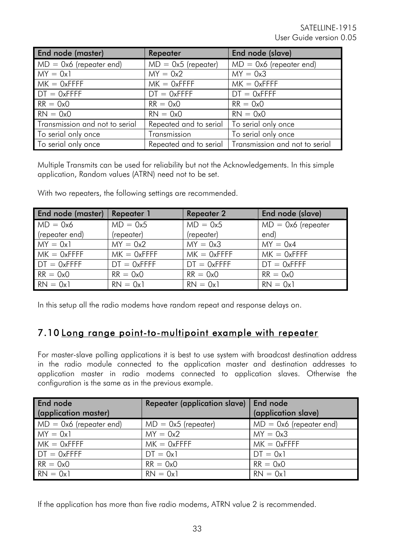| End node (master)              | Repeater               | End node (slave)               |
|--------------------------------|------------------------|--------------------------------|
| $MD = 0x6$ (repeater end)      | $MD = 0x5$ (repeater)  | $MD = 0x6$ (repeater end)      |
| $MY = 0x1$                     | $MY = 0x2$             | $MY = 0x3$                     |
| $MK = OxFFFF$                  | $MK = OxFFFF$          | $MK = 0x$ FFFF                 |
| $DT = 0xFFT$                   | $DT = 0xFFFF$          | $DT = 0xFFFF$                  |
| $RR = 0x0$                     | $RR = 0x0$             | $RR = 0x0$                     |
| $RN = 0x0$                     | $RN = 0x0$             | $RN = 0x0$                     |
| Transmission and not to serial | Repeated and to serial | To serial only once            |
| To serial only once            | Transmission           | To serial only once            |
| To serial only once            | Repeated and to serial | Transmission and not to serial |

Multiple Transmits can be used for reliability but not the Acknowledgements. In this simple application, Random values (ATRN) need not to be set.

With two repeaters, the following settings are recommended.

| End node (master) | Repeater 1     | <b>Repeater 2</b> | End node (slave)     |
|-------------------|----------------|-------------------|----------------------|
| $MD = 0x6$        | $MD = 0x5$     | $MD = 0x5$        | $MD = 0x6$ (repeater |
| (repeater end)    | (repeater)     | (repeater)        | end)                 |
| $MY = 0x1$        | $MY = 0x2$     | $MY = 0x3$        | $MY = 0x4$           |
| $MK = 0x$ FFFF    | $MK = OxFFFF$  | $MK = OxFFFF$     | $MK = 0x$ FFFF       |
| $DT = 0x$ FFFF    | $DT = 0x$ FFFF | $DT = 0x$ FFFF    | $DT = 0x$ FFFF       |
| $RR = 0x0$        | $RR = 0x0$     | $RR = 0x0$        | $RR = 0x0$           |
| $RN = 0x1$        | $RN = 0x1$     | $RN = 0x1$        | $RN = 0x1$           |

In this setup all the radio modems have random repeat and response delays on.

### 7.10 Long range point-to-multipoint example with repeater

For master-slave polling applications it is best to use system with broadcast destination address in the radio module connected to the application master and destination addresses to application master in radio modems connected to application slaves. Otherwise the configuration is the same as in the previous example.

| End node                  | Repeater (application slave) | End node                  |
|---------------------------|------------------------------|---------------------------|
| (application master)      |                              | (application slave)       |
| $MD = 0x6$ (repeater end) | $MD = 0x5$ (repeater)        | $MD = 0x6$ (repeater end) |
| $MY = 0x1$                | $MY = 0x2$                   | $MY = 0x3$                |
| $MK = 0x$ FFFF            | $MK = OxFFFF$                | $MK = 0x$ FFFF            |
| $DT = 0x$ FFFF            | $DT = 0x1$                   | $DT = 0x1$                |
| $RR = 0x0$                | $RR = 0x0$                   | $RR = 0x0$                |
| $RN = 0x1$                | $RN = 0x1$                   | $RN = 0x1$                |

If the application has more than five radio modems, ATRN value 2 is recommended.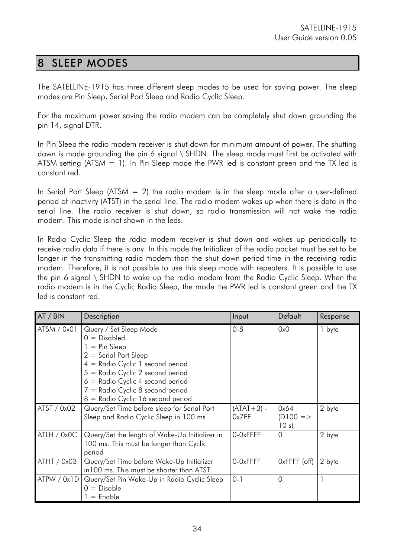### 8 SLEEP MODES

The SATELLINE-1915 has three different sleep modes to be used for saving power. The sleep modes are Pin Sleep, Serial Port Sleep and Radio Cyclic Sleep.

For the maximum power saving the radio modem can be completely shut down grounding the pin 14, signal DTR.

In Pin Sleep the radio modem receiver is shut down for minimum amount of power. The shutting down is made grounding the pin 6 signal \ SHDN. The sleep mode must first be activated with ATSM setting (ATSM  $= 1$ ). In Pin Sleep mode the PWR led is constant green and the TX led is constant red.

In Serial Port Sleep (ATSM  $= 2$ ) the radio modem is in the sleep mode after a user-defined period of inactivity (ATST) in the serial line. The radio modem wakes up when there is data in the serial line. The radio receiver is shut down, so radio transmission will not wake the radio modem. This mode is not shown in the leds.

In Radio Cyclic Sleep the radio modem receiver is shut down and wakes up periodically to receive radio data if there is any. In this mode the Initializer of the radio packet must be set to be longer in the transmitting radio modem than the shut down period time in the receiving radio modem. Therefore, it is not possible to use this sleep mode with repeaters. It is possible to use the pin 6 signal \ SHDN to wake up the radio modem from the Radio Cyclic Sleep. When the radio modem is in the Cyclic Radio Sleep, the mode the PWR led is constant green and the TX led is constant red.

| AT / BIN    | Description                                                                                                                                                                                                                                                                        | Input                 | Default                      | Response |
|-------------|------------------------------------------------------------------------------------------------------------------------------------------------------------------------------------------------------------------------------------------------------------------------------------|-----------------------|------------------------------|----------|
| ATSM / 0x01 | Query / Set Sleep Mode<br>$0 = Disabeled$<br>$1 = Pin Sleep$<br>$2 =$ Serial Port Sleep<br>4 = Radio Cyclic 1 second period<br>$5 =$ Radio Cyclic 2 second period<br>$6 =$ Radio Cyclic 4 second period<br>7 = Radio Cyclic 8 second period<br>$8 =$ Radio Cyclic 16 second period | $0 - 8$               | 0x0                          | 1 byte   |
| ATST / 0x02 | Query/Set Time before sleep for Serial Port<br>Sleep and Radio Cyclic Sleep in 100 ms                                                                                                                                                                                              | $(ATAT+3)$ -<br>0x7FF | 0x64<br>$(D100 = >$<br>10 s) | 2 byte   |
| ATLH / 0x0C | Query/Set the length of Wake-Up Initializer in<br>100 ms. This must be longer than Cyclic<br>period                                                                                                                                                                                | 0-0xFFFF              | $\Omega$                     | 2 byte   |
| ATHT / 0x03 | Query/Set Time before Wake-Up Initializer<br>in 100 ms. This must be shorter than ATST.                                                                                                                                                                                            | 0-0xFFFF              | OxFFFF (off)                 | 2 byte   |
| ATPW / Ox1D | Query/Set Pin Wake-Up in Radio Cyclic Sleep<br>$0 = Disable$<br>$=$ Enable                                                                                                                                                                                                         | $0 - 1$               | $\Omega$                     |          |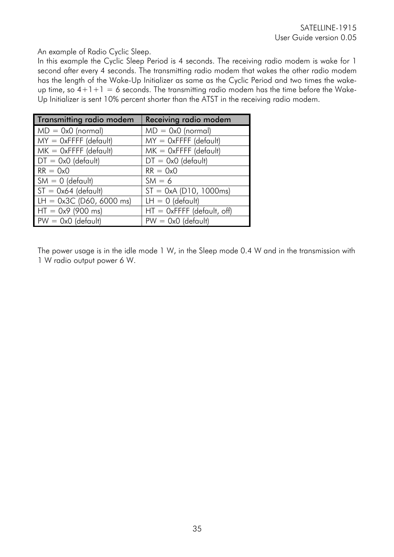#### An example of Radio Cyclic Sleep.

In this example the Cyclic Sleep Period is 4 seconds. The receiving radio modem is wake for 1 second after every 4 seconds. The transmitting radio modem that wakes the other radio modem has the length of the Wake-Up Initializer as same as the Cyclic Period and two times the wakeup time, so  $4+1+1=6$  seconds. The transmitting radio modem has the time before the Wake-Up Initializer is sent 10% percent shorter than the ATST in the receiving radio modem.

| <b>Transmitting radio modem</b> | Receiving radio modem        |
|---------------------------------|------------------------------|
| $MD = 0x0$ (normal)             | $MD = 0x0$ (normal)          |
| $MY = OxFFFF$ (default)         | $MY = OxFFFF$ (default)      |
| $MK = OxFFFF$ (default)         | $MK = OxFFFF$ (default)      |
| $DT = 0x0$ (default)            | $DT = 0x0$ (default)         |
| $RR = 0x0$                      | $RR = 0x0$                   |
| $SM = 0$ (default)              | $SM = 6$                     |
| $ST = 0x64$ (default)           | $ST = 0xA$ (D10, 1000ms)     |
| $LH = 0x3C$ (D60, 6000 ms)      | $LH = 0$ (default)           |
| $HT = 0x9 (900 ms)$             | $HT = OxFFFF$ (default, off) |
| $PW = Ox0$ (default)            | $PW = Ox0$ (default)         |

The power usage is in the idle mode 1 W, in the Sleep mode 0.4 W and in the transmission with 1 W radio output power 6 W.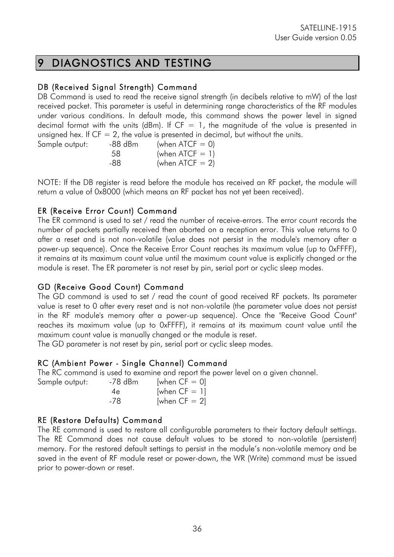## 9 DIAGNOSTICS AND TESTING

#### DB (Received Signal Strength) Command

DB Command is used to read the receive signal strength (in decibels relative to mW) of the last received packet. This parameter is useful in determining range characteristics of the RF modules under various conditions. In default mode, this command shows the power level in signed decimal format with the units (dBm). If  $CF = 1$ , the magnitude of the value is presented in unsigned hex. If  $CF = 2$ , the value is presented in decimal, but without the units.

| Sample output: | -88 dBm | (when $\textrm{ATCF} = 0$ ) |
|----------------|---------|-----------------------------|
|                | 58      | (when $\textrm{ATCF} = 1$ ) |
|                | -88     | (when $\textrm{ATCF} = 2$ ) |

NOTE: If the DB register is read before the module has received an RF packet, the module will return a value of 0x8000 (which means an RF packet has not yet been received).

#### ER (Receive Error Count) Command

The ER command is used to set / read the number of receive-errors. The error count records the number of packets partially received then aborted on a reception error. This value returns to 0 after a reset and is not non-volatile (value does not persist in the module's memory after a power-up sequence). Once the Receive Error Count reaches its maximum value (up to 0xFFFF), it remains at its maximum count value until the maximum count value is explicitly changed or the module is reset. The ER parameter is not reset by pin, serial port or cyclic sleep modes.

#### GD (Receive Good Count) Command

The GD command is used to set / read the count of good received RF packets. Its parameter value is reset to 0 after every reset and is not non-volatile (the parameter value does not persist in the RF module's memory after a power-up sequence). Once the "Receive Good Count" reaches its maximum value (up to 0xFFFF), it remains at its maximum count value until the maximum count value is manually changed or the module is reset.

The GD parameter is not reset by pin, serial port or cyclic sleep modes.

#### RC (Ambient Power - Single Channel) Command

The RC command is used to examine and report the power level on a given channel.

| Sample output: | -78 dBm | [when $CF = 0$ ] |
|----------------|---------|------------------|
|                | 4e      | [when $CF = 1$ ] |
|                | -78     | [when $CF = 2$ ] |

#### RE (Restore Defaults) Command

The RE command is used to restore all configurable parameters to their factory default settings. The RE Command does not cause default values to be stored to non-volatile (persistent) memory. For the restored default settings to persist in the module's non-volatile memory and be saved in the event of RF module reset or power-down, the WR (Write) command must be issued prior to power-down or reset.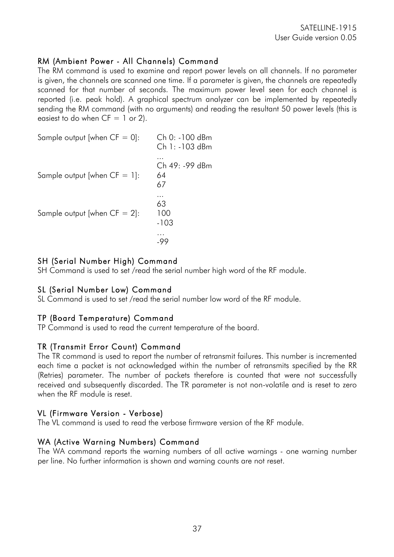#### RM (Ambient Power - All Channels) Command

The RM command is used to examine and report power levels on all channels. If no parameter is given, the channels are scanned one time. If a parameter is given, the channels are repeatedly scanned for that number of seconds. The maximum power level seen for each channel is reported (i.e. peak hold). A graphical spectrum analyzer can be implemented by repeatedly sending the RM command (with no arguments) and reading the resultant 50 power levels (this is easiest to do when  $CF = 1$  or 2).

Sample output [when  $CF = 0$ ]: Ch 0: -100 dBm Ch 1: -103 dBm ... Ch 49: -99 dBm Sample output [when  $CF = 1$ ]: 64 67 ... 63 Sample output [when  $CF = 2$ ]: 100 -103 … -99

#### SH (Serial Number High) Command

SH Command is used to set /read the serial number high word of the RF module.

#### SL (Serial Number Low) Command

SL Command is used to set /read the serial number low word of the RF module.

#### TP (Board Temperature) Command

TP Command is used to read the current temperature of the board.

#### TR (Transmit Error Count) Command

The TR command is used to report the number of retransmit failures. This number is incremented each time a packet is not acknowledged within the number of retransmits specified by the RR (Retries) parameter. The number of packets therefore is counted that were not successfully received and subsequently discarded. The TR parameter is not non-volatile and is reset to zero when the RF module is reset.

#### VL (Firmware Version - Verbose)

The VL command is used to read the verbose firmware version of the RF module.

#### WA (Active Warning Numbers) Command

The WA command reports the warning numbers of all active warnings - one warning number per line. No further information is shown and warning counts are not reset.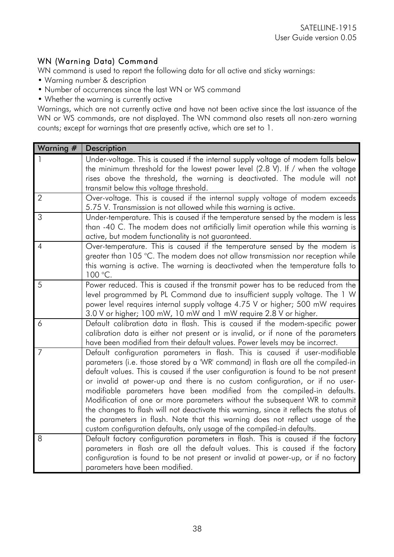#### WN (Warning Data) Command

WN command is used to report the following data for all active and sticky warnings:

- Warning number & description
- Number of occurrences since the last WN or WS command
- Whether the warning is currently active

Warnings, which are not currently active and have not been active since the last issuance of the WN or WS commands, are not displayed. The WN command also resets all non-zero warning counts; except for warnings that are presently active, which are set to 1.

| Warning #      | <b>Description</b>                                                                                                                                                                                                                                                                                                                                                                                                                                                                                                                                                                                                                                                                                                                                    |
|----------------|-------------------------------------------------------------------------------------------------------------------------------------------------------------------------------------------------------------------------------------------------------------------------------------------------------------------------------------------------------------------------------------------------------------------------------------------------------------------------------------------------------------------------------------------------------------------------------------------------------------------------------------------------------------------------------------------------------------------------------------------------------|
|                | Under-voltage. This is caused if the internal supply voltage of modem falls below<br>the minimum threshold for the lowest power level (2.8 V). If / when the voltage<br>rises above the threshold, the warning is deactivated. The module will not<br>transmit below this voltage threshold.                                                                                                                                                                                                                                                                                                                                                                                                                                                          |
| $\overline{2}$ | Over-voltage. This is caused if the internal supply voltage of modem exceeds<br>5.75 V. Transmission is not allowed while this warning is active.                                                                                                                                                                                                                                                                                                                                                                                                                                                                                                                                                                                                     |
| 3              | Under-temperature. This is caused if the temperature sensed by the modem is less<br>than -40 C. The modem does not artificially limit operation while this warning is<br>active, but modem functionality is not guaranteed.                                                                                                                                                                                                                                                                                                                                                                                                                                                                                                                           |
| $\overline{A}$ | Over-temperature. This is caused if the temperature sensed by the modem is<br>greater than 105 °C. The modem does not allow transmission nor reception while<br>this warning is active. The warning is deactivated when the temperature falls to<br>100 °C.                                                                                                                                                                                                                                                                                                                                                                                                                                                                                           |
| 5              | Power reduced. This is caused if the transmit power has to be reduced from the<br>level programmed by PL Command due to insufficient supply voltage. The 1 W<br>power level requires internal supply voltage 4.75 V or higher; 500 mW requires<br>3.0 V or higher; 100 mW, 10 mW and 1 mW require 2.8 V or higher.                                                                                                                                                                                                                                                                                                                                                                                                                                    |
| 6              | Default calibration data in flash. This is caused if the modem-specific power<br>calibration data is either not present or is invalid, or if none of the parameters<br>have been modified from their default values. Power levels may be incorrect.                                                                                                                                                                                                                                                                                                                                                                                                                                                                                                   |
| 7              | Default configuration parameters in flash. This is caused if user-modifiable<br>parameters (i.e. those stored by a 'WR' command) in flash are all the compiled-in<br>default values. This is caused if the user configuration is found to be not present<br>or invalid at power-up and there is no custom configuration, or if no user-<br>modifiable parameters have been modified from the compiled-in defaults.<br>Modification of one or more parameters without the subsequent WR to commit<br>the changes to flash will not deactivate this warning, since it reflects the status of<br>the parameters in flash. Note that this warning does not reflect usage of the<br>custom configuration defaults, only usage of the compiled-in defaults. |
| 8              | Default factory configuration parameters in flash. This is caused if the factory<br>parameters in flash are all the default values. This is caused if the factory<br>configuration is found to be not present or invalid at power-up, or if no factory<br>parameters have been modified.                                                                                                                                                                                                                                                                                                                                                                                                                                                              |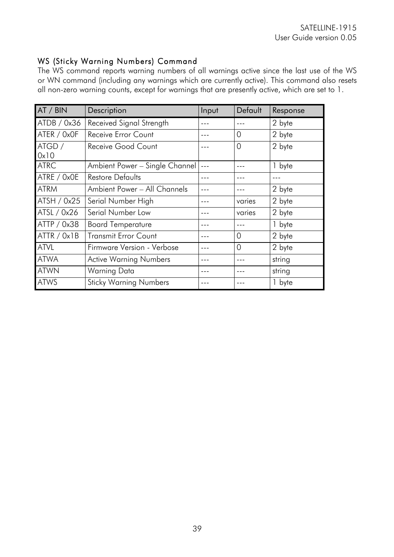#### WS (Sticky Warning Numbers) Command

The WS command reports warning numbers of all warnings active since the last use of the WS or WN command (including any warnings which are currently active). This command also resets all non-zero warning counts, except for warnings that are presently active, which are set to 1.

| AT / BIN       | Description                    | Input | Default | Response |
|----------------|--------------------------------|-------|---------|----------|
| ATDB / 0x36    | Received Signal Strength       |       |         | 2 byte   |
| ATER / 0x0F    | Receive Error Count            |       | 0       | 2 byte   |
| ATGD /<br>0x10 | Receive Good Count             |       | 0       | 2 byte   |
| <b>ATRC</b>    | Ambient Power - Single Channel |       |         | 1 byte   |
| ATRE / 0x0E    | <b>Restore Defaults</b>        |       |         |          |
| <b>ATRM</b>    | Ambient Power - All Channels   |       |         | 2 byte   |
| ATSH / 0x25    | Serial Number High             |       | varies  | 2 byte   |
| ATSL / 0x26    | Serial Number Low              |       | varies  | 2 byte   |
| ATTP / 0x38    | <b>Board Temperature</b>       |       |         | 1 byte   |
| ATTR / 0x1B    | <b>Transmit Error Count</b>    |       | 0       | 2 byte   |
| <b>ATVL</b>    | Firmware Version - Verbose     |       | 0       | 2 byte   |
| <b>ATWA</b>    | <b>Active Warning Numbers</b>  |       |         | string   |
| <b>ATWN</b>    | Warning Data                   |       |         | string   |
| <b>ATWS</b>    | <b>Sticky Warning Numbers</b>  |       |         | 1 byte   |